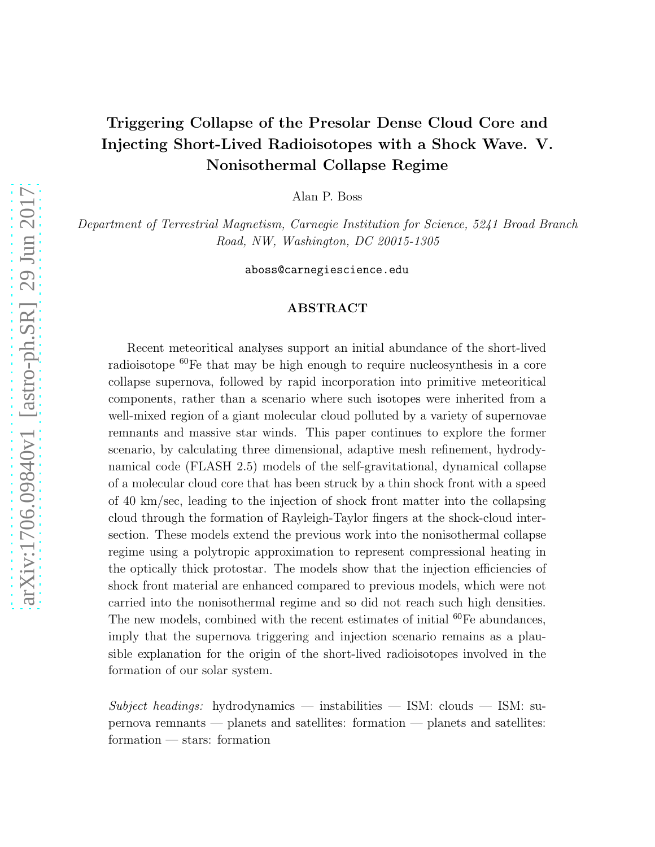### Triggering Collapse of the Presolar Dense Cloud Core and Injecting Short-Lived Radioisotopes with a Shock Wave. V. Nonisothermal Collapse Regime

Alan P. Boss

Department of Terrestrial Magnetism, Carnegie Institution for Science, 5241 Broad Branch Road, NW, Washington, DC 20015-1305

aboss@carnegiescience.edu

### ABSTRACT

Recent meteoritical analyses support an initial abundance of the short-lived radioisotope <sup>60</sup>Fe that may be high enough to require nucleosynthesis in a core collapse supernova, followed by rapid incorporation into primitive meteoritical components, rather than a scenario where such isotopes were inherited from a well-mixed region of a giant molecular cloud polluted by a variety of supernovae remnants and massive star winds. This paper continues to explore the former scenario, by calculating three dimensional, adaptive mesh refinement, hydrodynamical code (FLASH 2.5) models of the self-gravitational, dynamical collapse of a molecular cloud core that has been struck by a thin shock front with a speed of 40 km/sec, leading to the injection of shock front matter into the collapsing cloud through the formation of Rayleigh-Taylor fingers at the shock-cloud intersection. These models extend the previous work into the nonisothermal collapse regime using a polytropic approximation to represent compressional heating in the optically thick protostar. The models show that the injection efficiencies of shock front material are enhanced compared to previous models, which were not carried into the nonisothermal regime and so did not reach such high densities. The new models, combined with the recent estimates of initial  ${}^{60}Fe$  abundances, imply that the supernova triggering and injection scenario remains as a plausible explanation for the origin of the short-lived radioisotopes involved in the formation of our solar system.

 $Subject$  headings: hydrodynamics — instabilities — ISM: clouds — ISM: supernova remnants — planets and satellites: formation — planets and satellites: formation — stars: formation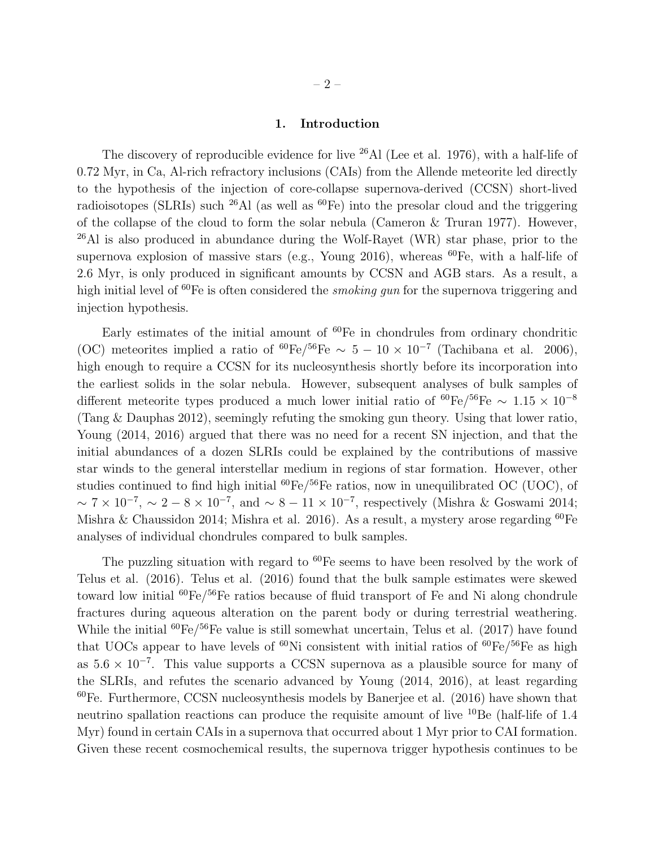#### 1. Introduction

The discovery of reproducible evidence for live <sup>26</sup>Al (Lee et al. 1976), with a half-life of 0.72 Myr, in Ca, Al-rich refractory inclusions (CAIs) from the Allende meteorite led directly to the hypothesis of the injection of core-collapse supernova-derived (CCSN) short-lived radioisotopes (SLRIs) such  $^{26}$ Al (as well as  $^{60}$ Fe) into the presolar cloud and the triggering of the collapse of the cloud to form the solar nebula (Cameron & Truran 1977). However,  $^{26}$ Al is also produced in abundance during the Wolf-Rayet (WR) star phase, prior to the supernova explosion of massive stars (e.g., Young 2016), whereas  ${}^{60}Fe$ , with a half-life of 2.6 Myr, is only produced in significant amounts by CCSN and AGB stars. As a result, a high initial level of  ${}^{60}Fe$  is often considered the *smoking qun* for the supernova triggering and injection hypothesis.

Early estimates of the initial amount of  ${}^{60}Fe$  in chondrules from ordinary chondritic (OC) meteorites implied a ratio of <sup>60</sup>Fe/<sup>56</sup>Fe ~ 5 – 10 × 10<sup>-7</sup> (Tachibana et al. 2006), high enough to require a CCSN for its nucleosynthesis shortly before its incorporation into the earliest solids in the solar nebula. However, subsequent analyses of bulk samples of different meteorite types produced a much lower initial ratio of  ${}^{60}Fe/{}^{56}Fe$  ~ 1.15 × 10<sup>-8</sup> (Tang & Dauphas 2012), seemingly refuting the smoking gun theory. Using that lower ratio, Young (2014, 2016) argued that there was no need for a recent SN injection, and that the initial abundances of a dozen SLRIs could be explained by the contributions of massive star winds to the general interstellar medium in regions of star formation. However, other studies continued to find high initial  ${}^{60}Fe/{}^{56}Fe$  ratios, now in unequilibrated OC (UOC), of  $\sim 7 \times 10^{-7}$ ,  $\sim 2 - 8 \times 10^{-7}$ , and  $\sim 8 - 11 \times 10^{-7}$ , respectively (Mishra & Goswami 2014; Mishra & Chaussidon 2014; Mishra et al. 2016). As a result, a mystery arose regarding  ${}^{60}Fe$ analyses of individual chondrules compared to bulk samples.

The puzzling situation with regard to  ${}^{60}Fe$  seems to have been resolved by the work of Telus et al. (2016). Telus et al. (2016) found that the bulk sample estimates were skewed toward low initial  ${}^{60}Fe/{}^{56}Fe$  ratios because of fluid transport of Fe and Ni along chondrule fractures during aqueous alteration on the parent body or during terrestrial weathering. While the initial <sup>60</sup>Fe/<sup>56</sup>Fe value is still somewhat uncertain, Telus et al. (2017) have found that UOCs appear to have levels of  ${}^{60}$ Ni consistent with initial ratios of  ${}^{60}Fe/{}^{56}Fe$  as high as  $5.6 \times 10^{-7}$ . This value supports a CCSN supernova as a plausible source for many of the SLRIs, and refutes the scenario advanced by Young (2014, 2016), at least regarding  $^{60}$ Fe. Furthermore, CCSN nucleosynthesis models by Banerjee et al. (2016) have shown that neutrino spallation reactions can produce the requisite amount of live <sup>10</sup>Be (half-life of 1.4 Myr) found in certain CAIs in a supernova that occurred about 1 Myr prior to CAI formation. Given these recent cosmochemical results, the supernova trigger hypothesis continues to be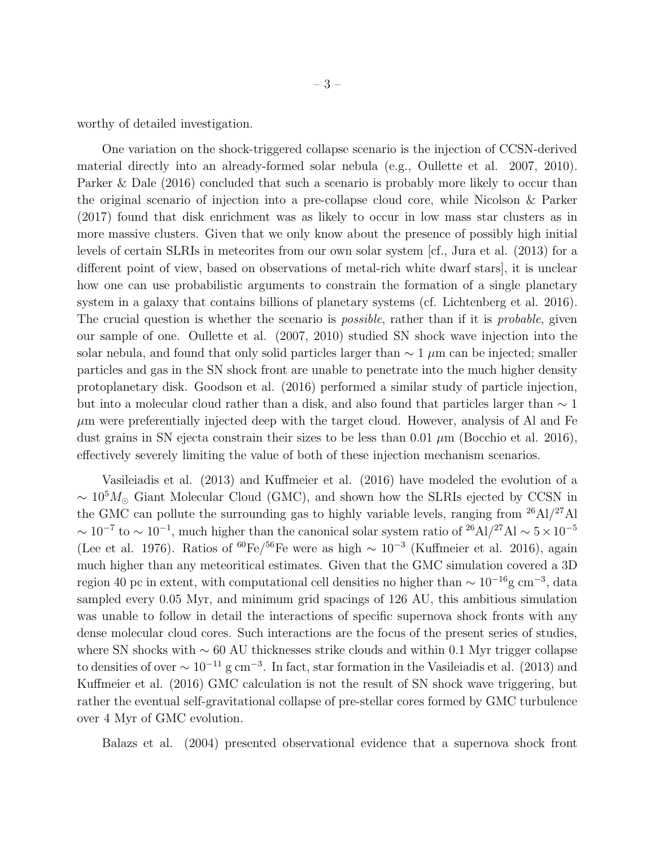worthy of detailed investigation.

One variation on the shock-triggered collapse scenario is the injection of CCSN-derived material directly into an already-formed solar nebula (e.g., Oullette et al. 2007, 2010). Parker & Dale (2016) concluded that such a scenario is probably more likely to occur than the original scenario of injection into a pre-collapse cloud core, while Nicolson & Parker (2017) found that disk enrichment was as likely to occur in low mass star clusters as in more massive clusters. Given that we only know about the presence of possibly high initial levels of certain SLRIs in meteorites from our own solar system [cf., Jura et al. (2013) for a different point of view, based on observations of metal-rich white dwarf stars], it is unclear how one can use probabilistic arguments to constrain the formation of a single planetary system in a galaxy that contains billions of planetary systems (cf. Lichtenberg et al. 2016). The crucial question is whether the scenario is *possible*, rather than if it is *probable*, given our sample of one. Oullette et al. (2007, 2010) studied SN shock wave injection into the solar nebula, and found that only solid particles larger than  $\sim 1 \mu m$  can be injected; smaller particles and gas in the SN shock front are unable to penetrate into the much higher density protoplanetary disk. Goodson et al. (2016) performed a similar study of particle injection, but into a molecular cloud rather than a disk, and also found that particles larger than  $\sim 1$  $\mu$ m were preferentially injected deep with the target cloud. However, analysis of Al and Fe dust grains in SN ejecta constrain their sizes to be less than  $0.01 \mu m$  (Bocchio et al. 2016), effectively severely limiting the value of both of these injection mechanism scenarios.

Vasileiadis et al. (2013) and Kuffmeier et al. (2016) have modeled the evolution of a  $\sim 10^5 M_{\odot}$  Giant Molecular Cloud (GMC), and shown how the SLRIs ejected by CCSN in the GMC can pollute the surrounding gas to highly variable levels, ranging from  $^{26}$ Al/ $^{27}$ Al  $\sim 10^{-7}$  to  $\sim 10^{-1}$ , much higher than the canonical solar system ratio of <sup>26</sup>Al/<sup>27</sup>Al  $\sim 5 \times 10^{-5}$ (Lee et al. 1976). Ratios of <sup>60</sup>Fe/<sup>56</sup>Fe were as high  $\sim 10^{-3}$  (Kuffmeier et al. 2016), again much higher than any meteoritical estimates. Given that the GMC simulation covered a 3D region 40 pc in extent, with computational cell densities no higher than  $\sim 10^{-16}$ g cm<sup>-3</sup>, data sampled every 0.05 Myr, and minimum grid spacings of 126 AU, this ambitious simulation was unable to follow in detail the interactions of specific supernova shock fronts with any dense molecular cloud cores. Such interactions are the focus of the present series of studies, where SN shocks with ∼ 60 AU thicknesses strike clouds and within 0.1 Myr trigger collapse to densities of over  $\sim 10^{-11}$  g cm<sup>-3</sup>. In fact, star formation in the Vasileiadis et al. (2013) and Kuffmeier et al. (2016) GMC calculation is not the result of SN shock wave triggering, but rather the eventual self-gravitational collapse of pre-stellar cores formed by GMC turbulence over 4 Myr of GMC evolution.

Balazs et al. (2004) presented observational evidence that a supernova shock front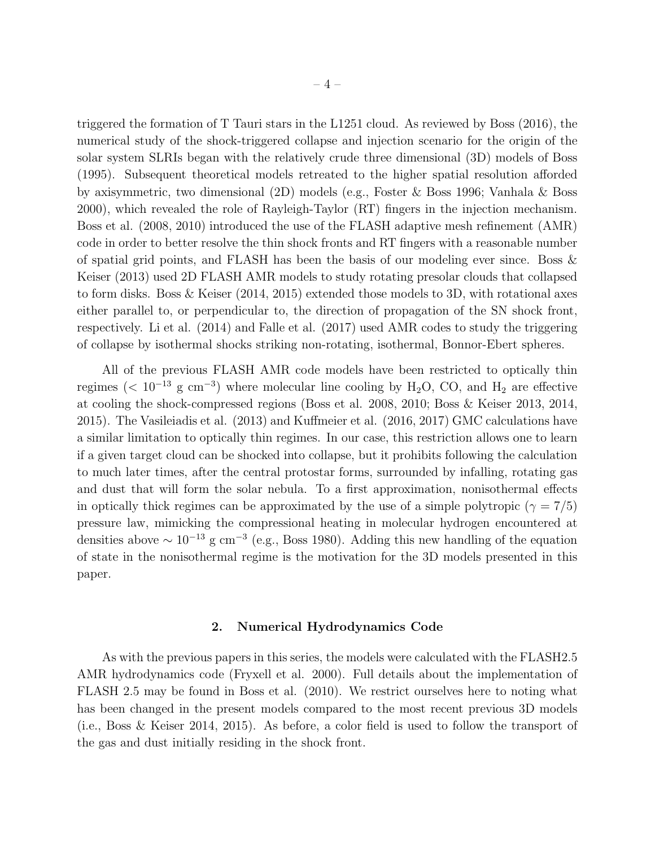triggered the formation of T Tauri stars in the L1251 cloud. As reviewed by Boss (2016), the numerical study of the shock-triggered collapse and injection scenario for the origin of the solar system SLRIs began with the relatively crude three dimensional (3D) models of Boss (1995). Subsequent theoretical models retreated to the higher spatial resolution afforded by axisymmetric, two dimensional (2D) models (e.g., Foster & Boss 1996; Vanhala & Boss 2000), which revealed the role of Rayleigh-Taylor (RT) fingers in the injection mechanism. Boss et al. (2008, 2010) introduced the use of the FLASH adaptive mesh refinement (AMR) code in order to better resolve the thin shock fronts and RT fingers with a reasonable number of spatial grid points, and FLASH has been the basis of our modeling ever since. Boss  $\&$ Keiser (2013) used 2D FLASH AMR models to study rotating presolar clouds that collapsed to form disks. Boss & Keiser (2014, 2015) extended those models to 3D, with rotational axes either parallel to, or perpendicular to, the direction of propagation of the SN shock front, respectively. Li et al. (2014) and Falle et al. (2017) used AMR codes to study the triggering of collapse by isothermal shocks striking non-rotating, isothermal, Bonnor-Ebert spheres.

All of the previous FLASH AMR code models have been restricted to optically thin regimes (<  $10^{-13}$  g cm<sup>-3</sup>) where molecular line cooling by H<sub>2</sub>O, CO, and H<sub>2</sub> are effective at cooling the shock-compressed regions (Boss et al. 2008, 2010; Boss & Keiser 2013, 2014, 2015). The Vasileiadis et al. (2013) and Kuffmeier et al. (2016, 2017) GMC calculations have a similar limitation to optically thin regimes. In our case, this restriction allows one to learn if a given target cloud can be shocked into collapse, but it prohibits following the calculation to much later times, after the central protostar forms, surrounded by infalling, rotating gas and dust that will form the solar nebula. To a first approximation, nonisothermal effects in optically thick regimes can be approximated by the use of a simple polytropic ( $\gamma = 7/5$ ) pressure law, mimicking the compressional heating in molecular hydrogen encountered at densities above  $\sim 10^{-13}$  g cm<sup>-3</sup> (e.g., Boss 1980). Adding this new handling of the equation of state in the nonisothermal regime is the motivation for the 3D models presented in this paper.

#### 2. Numerical Hydrodynamics Code

As with the previous papers in this series, the models were calculated with the FLASH2.5 AMR hydrodynamics code (Fryxell et al. 2000). Full details about the implementation of FLASH 2.5 may be found in Boss et al. (2010). We restrict ourselves here to noting what has been changed in the present models compared to the most recent previous 3D models (i.e., Boss & Keiser 2014, 2015). As before, a color field is used to follow the transport of the gas and dust initially residing in the shock front.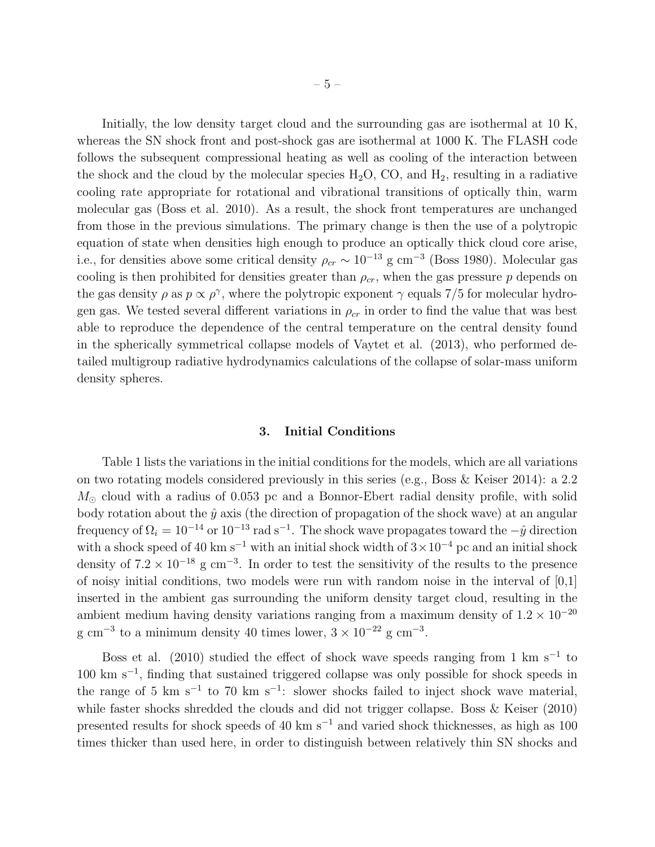Initially, the low density target cloud and the surrounding gas are isothermal at 10 K, whereas the SN shock front and post-shock gas are isothermal at 1000 K. The FLASH code follows the subsequent compressional heating as well as cooling of the interaction between the shock and the cloud by the molecular species  $H_2O$ , CO, and  $H_2$ , resulting in a radiative cooling rate appropriate for rotational and vibrational transitions of optically thin, warm molecular gas (Boss et al. 2010). As a result, the shock front temperatures are unchanged from those in the previous simulations. The primary change is then the use of a polytropic equation of state when densities high enough to produce an optically thick cloud core arise, i.e., for densities above some critical density  $\rho_{cr} \sim 10^{-13}$  g cm<sup>-3</sup> (Boss 1980). Molecular gas cooling is then prohibited for densities greater than  $\rho_{cr}$ , when the gas pressure p depends on the gas density  $\rho$  as  $p \propto \rho^{\gamma}$ , where the polytropic exponent  $\gamma$  equals 7/5 for molecular hydrogen gas. We tested several different variations in  $\rho_{cr}$  in order to find the value that was best able to reproduce the dependence of the central temperature on the central density found in the spherically symmetrical collapse models of Vaytet et al. (2013), who performed detailed multigroup radiative hydrodynamics calculations of the collapse of solar-mass uniform density spheres.

#### 3. Initial Conditions

Table 1 lists the variations in the initial conditions for the models, which are all variations on two rotating models considered previously in this series (e.g., Boss & Keiser 2014): a 2.2  $M_{\odot}$  cloud with a radius of 0.053 pc and a Bonnor-Ebert radial density profile, with solid body rotation about the  $\hat{y}$  axis (the direction of propagation of the shock wave) at an angular frequency of  $\Omega_i = 10^{-14}$  or  $10^{-13}$  rad s<sup>-1</sup>. The shock wave propagates toward the  $-\hat{y}$  direction with a shock speed of 40 km s<sup>-1</sup> with an initial shock width of  $3 \times 10^{-4}$  pc and an initial shock density of  $7.2 \times 10^{-18}$  g cm<sup>-3</sup>. In order to test the sensitivity of the results to the presence of noisy initial conditions, two models were run with random noise in the interval of [0,1] inserted in the ambient gas surrounding the uniform density target cloud, resulting in the ambient medium having density variations ranging from a maximum density of  $1.2 \times 10^{-20}$ g cm<sup>-3</sup> to a minimum density 40 times lower,  $3 \times 10^{-22}$  g cm<sup>-3</sup>.

Boss et al. (2010) studied the effect of shock wave speeds ranging from 1 km s<sup>-1</sup> to 100 km s<sup>−</sup><sup>1</sup> , finding that sustained triggered collapse was only possible for shock speeds in the range of 5 km s<sup>-1</sup> to 70 km s<sup>-1</sup>: slower shocks failed to inject shock wave material, while faster shocks shredded the clouds and did not trigger collapse. Boss & Keiser (2010) presented results for shock speeds of 40 km s<sup>−</sup><sup>1</sup> and varied shock thicknesses, as high as 100 times thicker than used here, in order to distinguish between relatively thin SN shocks and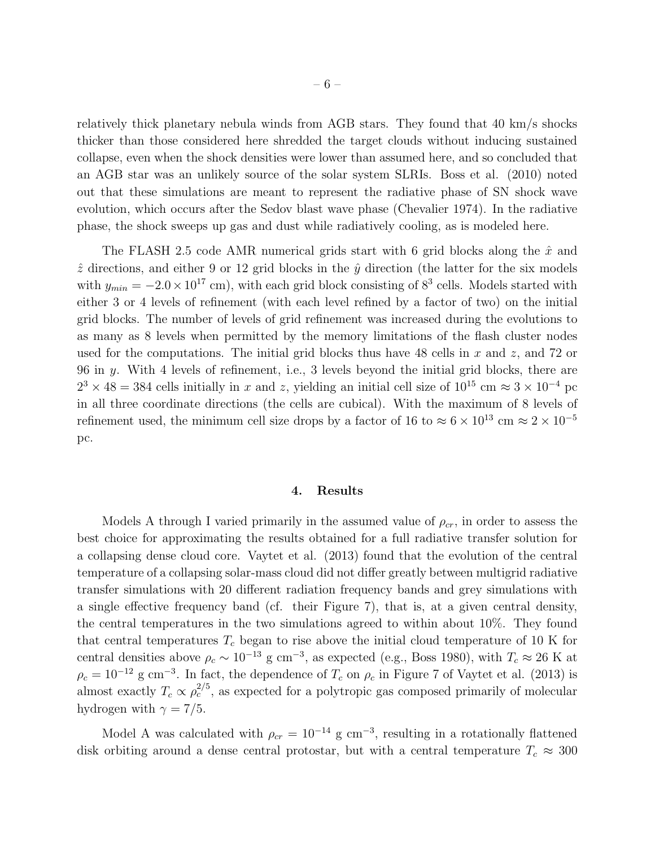relatively thick planetary nebula winds from AGB stars. They found that 40 km/s shocks thicker than those considered here shredded the target clouds without inducing sustained collapse, even when the shock densities were lower than assumed here, and so concluded that an AGB star was an unlikely source of the solar system SLRIs. Boss et al. (2010) noted out that these simulations are meant to represent the radiative phase of SN shock wave evolution, which occurs after the Sedov blast wave phase (Chevalier 1974). In the radiative phase, the shock sweeps up gas and dust while radiatively cooling, as is modeled here.

The FLASH 2.5 code AMR numerical grids start with 6 grid blocks along the  $\hat{x}$  and  $\hat{z}$  directions, and either 9 or 12 grid blocks in the  $\hat{y}$  direction (the latter for the six models with  $y_{min} = -2.0 \times 10^{17}$  cm), with each grid block consisting of  $8^3$  cells. Models started with either 3 or 4 levels of refinement (with each level refined by a factor of two) on the initial grid blocks. The number of levels of grid refinement was increased during the evolutions to as many as 8 levels when permitted by the memory limitations of the flash cluster nodes used for the computations. The initial grid blocks thus have 48 cells in x and z, and 72 or 96 in y. With 4 levels of refinement, i.e., 3 levels beyond the initial grid blocks, there are  $2^3 \times 48 = 384$  cells initially in x and z, yielding an initial cell size of  $10^{15}$  cm  $\approx 3 \times 10^{-4}$  pc in all three coordinate directions (the cells are cubical). With the maximum of 8 levels of refinement used, the minimum cell size drops by a factor of 16 to  $\approx 6 \times 10^{13}$  cm  $\approx 2 \times 10^{-5}$ pc.

#### 4. Results

Models A through I varied primarily in the assumed value of  $\rho_{cr}$ , in order to assess the best choice for approximating the results obtained for a full radiative transfer solution for a collapsing dense cloud core. Vaytet et al. (2013) found that the evolution of the central temperature of a collapsing solar-mass cloud did not differ greatly between multigrid radiative transfer simulations with 20 different radiation frequency bands and grey simulations with a single effective frequency band (cf. their Figure 7), that is, at a given central density, the central temperatures in the two simulations agreed to within about 10%. They found that central temperatures  $T_c$  began to rise above the initial cloud temperature of 10 K for central densities above  $\rho_c \sim 10^{-13}$  g cm<sup>-3</sup>, as expected (e.g., Boss 1980), with  $T_c \approx 26$  K at  $\rho_c = 10^{-12}$  g cm<sup>-3</sup>. In fact, the dependence of  $T_c$  on  $\rho_c$  in Figure 7 of Vaytet et al. (2013) is almost exactly  $T_c \propto \rho_c^{2/5}$ , as expected for a polytropic gas composed primarily of molecular hydrogen with  $\gamma = 7/5$ .

Model A was calculated with  $\rho_{cr} = 10^{-14}$  g cm<sup>-3</sup>, resulting in a rotationally flattened disk orbiting around a dense central protostar, but with a central temperature  $T_c \approx 300$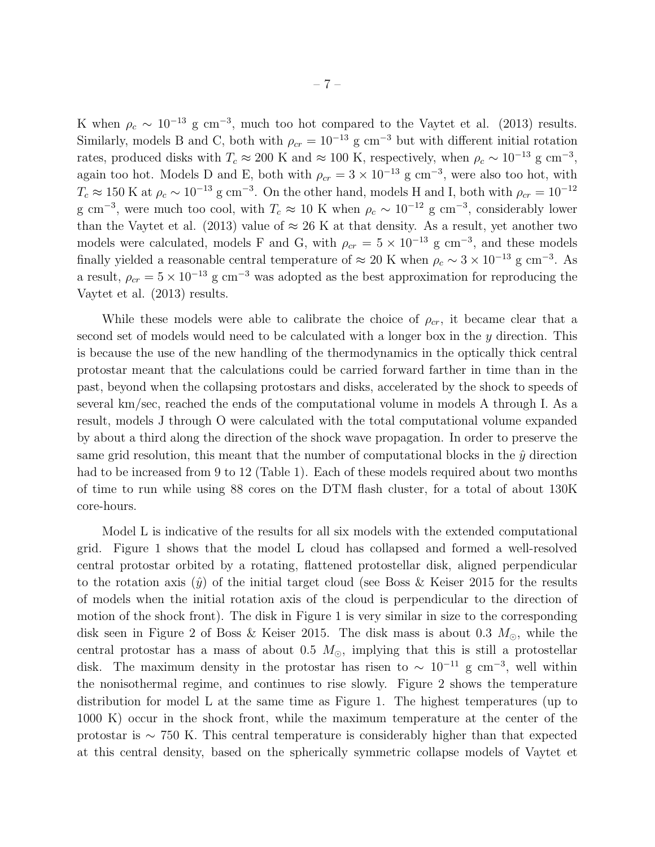K when  $\rho_c \sim 10^{-13}$  g cm<sup>-3</sup>, much too hot compared to the Vaytet et al. (2013) results. Similarly, models B and C, both with  $\rho_{cr} = 10^{-13}$  g cm<sup>-3</sup> but with different initial rotation rates, produced disks with  $T_c \approx 200$  K and  $\approx 100$  K, respectively, when  $\rho_c \sim 10^{-13}$  g cm<sup>-3</sup>, again too hot. Models D and E, both with  $\rho_{cr} = 3 \times 10^{-13}$  g cm<sup>-3</sup>, were also too hot, with  $T_c \approx 150 \text{ K}$  at  $\rho_c \sim 10^{-13} \text{ g cm}^{-3}$ . On the other hand, models H and I, both with  $\rho_{cr} = 10^{-12}$ g cm<sup>-3</sup>, were much too cool, with  $T_c \approx 10$  K when  $\rho_c \sim 10^{-12}$  g cm<sup>-3</sup>, considerably lower than the Vaytet et al. (2013) value of  $\approx 26$  K at that density. As a result, yet another two models were calculated, models F and G, with  $\rho_{cr} = 5 \times 10^{-13}$  g cm<sup>-3</sup>, and these models finally yielded a reasonable central temperature of  $\approx 20$  K when  $\rho_c \sim 3 \times 10^{-13}$  g cm<sup>-3</sup>. As a result,  $\rho_{cr} = 5 \times 10^{-13}$  g cm<sup>-3</sup> was adopted as the best approximation for reproducing the Vaytet et al. (2013) results.

While these models were able to calibrate the choice of  $\rho_{cr}$ , it became clear that a second set of models would need to be calculated with a longer box in the y direction. This is because the use of the new handling of the thermodynamics in the optically thick central protostar meant that the calculations could be carried forward farther in time than in the past, beyond when the collapsing protostars and disks, accelerated by the shock to speeds of several km/sec, reached the ends of the computational volume in models A through I. As a result, models J through O were calculated with the total computational volume expanded by about a third along the direction of the shock wave propagation. In order to preserve the same grid resolution, this meant that the number of computational blocks in the  $\hat{y}$  direction had to be increased from 9 to 12 (Table 1). Each of these models required about two months of time to run while using 88 cores on the DTM flash cluster, for a total of about 130K core-hours.

Model L is indicative of the results for all six models with the extended computational grid. Figure 1 shows that the model L cloud has collapsed and formed a well-resolved central protostar orbited by a rotating, flattened protostellar disk, aligned perpendicular to the rotation axis  $(\hat{y})$  of the initial target cloud (see Boss & Keiser 2015 for the results of models when the initial rotation axis of the cloud is perpendicular to the direction of motion of the shock front). The disk in Figure 1 is very similar in size to the corresponding disk seen in Figure 2 of Boss & Keiser 2015. The disk mass is about 0.3  $M_{\odot}$ , while the central protostar has a mass of about 0.5  $M_{\odot}$ , implying that this is still a protostellar disk. The maximum density in the protostar has risen to  $\sim 10^{-11}$  g cm<sup>-3</sup>, well within the nonisothermal regime, and continues to rise slowly. Figure 2 shows the temperature distribution for model L at the same time as Figure 1. The highest temperatures (up to 1000 K) occur in the shock front, while the maximum temperature at the center of the protostar is ∼ 750 K. This central temperature is considerably higher than that expected at this central density, based on the spherically symmetric collapse models of Vaytet et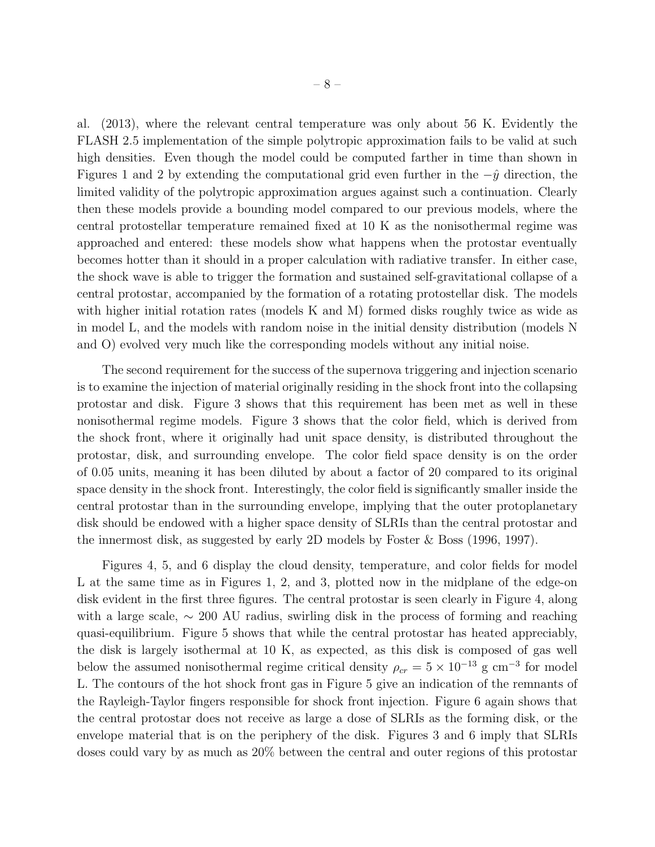al. (2013), where the relevant central temperature was only about 56 K. Evidently the FLASH 2.5 implementation of the simple polytropic approximation fails to be valid at such high densities. Even though the model could be computed farther in time than shown in Figures 1 and 2 by extending the computational grid even further in the  $-\hat{y}$  direction, the limited validity of the polytropic approximation argues against such a continuation. Clearly then these models provide a bounding model compared to our previous models, where the central protostellar temperature remained fixed at 10 K as the nonisothermal regime was approached and entered: these models show what happens when the protostar eventually becomes hotter than it should in a proper calculation with radiative transfer. In either case, the shock wave is able to trigger the formation and sustained self-gravitational collapse of a central protostar, accompanied by the formation of a rotating protostellar disk. The models with higher initial rotation rates (models K and M) formed disks roughly twice as wide as in model L, and the models with random noise in the initial density distribution (models N and O) evolved very much like the corresponding models without any initial noise.

The second requirement for the success of the supernova triggering and injection scenario is to examine the injection of material originally residing in the shock front into the collapsing protostar and disk. Figure 3 shows that this requirement has been met as well in these nonisothermal regime models. Figure 3 shows that the color field, which is derived from the shock front, where it originally had unit space density, is distributed throughout the protostar, disk, and surrounding envelope. The color field space density is on the order of 0.05 units, meaning it has been diluted by about a factor of 20 compared to its original space density in the shock front. Interestingly, the color field is significantly smaller inside the central protostar than in the surrounding envelope, implying that the outer protoplanetary disk should be endowed with a higher space density of SLRIs than the central protostar and the innermost disk, as suggested by early 2D models by Foster & Boss (1996, 1997).

Figures 4, 5, and 6 display the cloud density, temperature, and color fields for model L at the same time as in Figures 1, 2, and 3, plotted now in the midplane of the edge-on disk evident in the first three figures. The central protostar is seen clearly in Figure 4, along with a large scale, ∼ 200 AU radius, swirling disk in the process of forming and reaching quasi-equilibrium. Figure 5 shows that while the central protostar has heated appreciably, the disk is largely isothermal at 10 K, as expected, as this disk is composed of gas well below the assumed nonisothermal regime critical density  $\rho_{cr} = 5 \times 10^{-13}$  g cm<sup>-3</sup> for model L. The contours of the hot shock front gas in Figure 5 give an indication of the remnants of the Rayleigh-Taylor fingers responsible for shock front injection. Figure 6 again shows that the central protostar does not receive as large a dose of SLRIs as the forming disk, or the envelope material that is on the periphery of the disk. Figures 3 and 6 imply that SLRIs doses could vary by as much as 20% between the central and outer regions of this protostar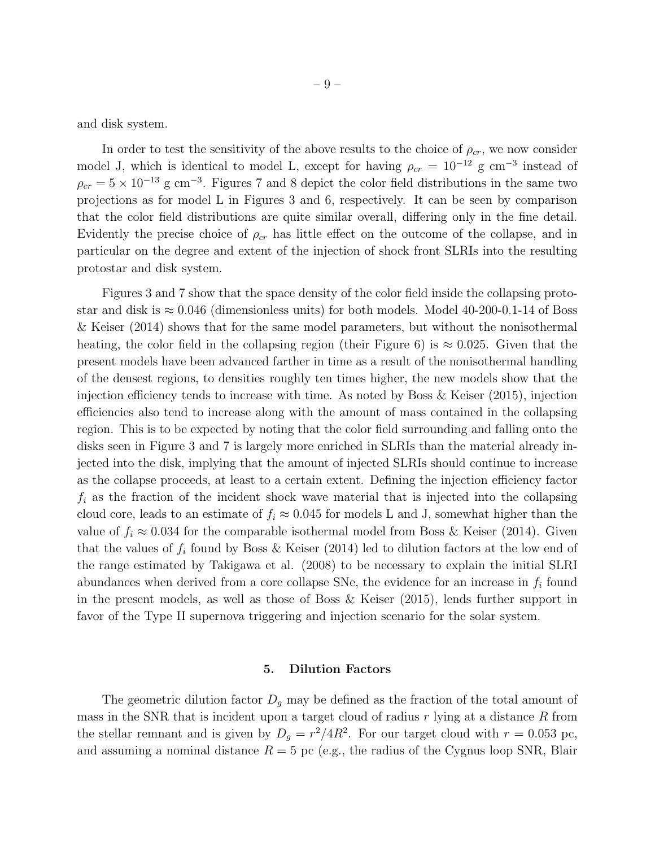and disk system.

In order to test the sensitivity of the above results to the choice of  $\rho_{cr}$ , we now consider model J, which is identical to model L, except for having  $\rho_{cr} = 10^{-12}$  g cm<sup>-3</sup> instead of  $\rho_{cr} = 5 \times 10^{-13}$  g cm<sup>-3</sup>. Figures 7 and 8 depict the color field distributions in the same two projections as for model L in Figures 3 and 6, respectively. It can be seen by comparison that the color field distributions are quite similar overall, differing only in the fine detail. Evidently the precise choice of  $\rho_{cr}$  has little effect on the outcome of the collapse, and in particular on the degree and extent of the injection of shock front SLRIs into the resulting protostar and disk system.

Figures 3 and 7 show that the space density of the color field inside the collapsing protostar and disk is  $\approx 0.046$  (dimensionless units) for both models. Model 40-200-0.1-14 of Boss & Keiser (2014) shows that for the same model parameters, but without the nonisothermal heating, the color field in the collapsing region (their Figure 6) is  $\approx 0.025$ . Given that the present models have been advanced farther in time as a result of the nonisothermal handling of the densest regions, to densities roughly ten times higher, the new models show that the injection efficiency tends to increase with time. As noted by Boss  $\&$  Keiser (2015), injection efficiencies also tend to increase along with the amount of mass contained in the collapsing region. This is to be expected by noting that the color field surrounding and falling onto the disks seen in Figure 3 and 7 is largely more enriched in SLRIs than the material already injected into the disk, implying that the amount of injected SLRIs should continue to increase as the collapse proceeds, at least to a certain extent. Defining the injection efficiency factor  $f_i$  as the fraction of the incident shock wave material that is injected into the collapsing cloud core, leads to an estimate of  $f_i \approx 0.045$  for models L and J, somewhat higher than the value of  $f_i \approx 0.034$  for the comparable isothermal model from Boss & Keiser (2014). Given that the values of  $f_i$  found by Boss & Keiser (2014) led to dilution factors at the low end of the range estimated by Takigawa et al. (2008) to be necessary to explain the initial SLRI abundances when derived from a core collapse SNe, the evidence for an increase in  $f_i$  found in the present models, as well as those of Boss & Keiser (2015), lends further support in favor of the Type II supernova triggering and injection scenario for the solar system.

#### 5. Dilution Factors

The geometric dilution factor  $D_q$  may be defined as the fraction of the total amount of mass in the SNR that is incident upon a target cloud of radius  $r$  lying at a distance  $R$  from the stellar remnant and is given by  $D_g = r^2/4R^2$ . For our target cloud with  $r = 0.053$  pc, and assuming a nominal distance  $R = 5$  pc (e.g., the radius of the Cygnus loop SNR, Blair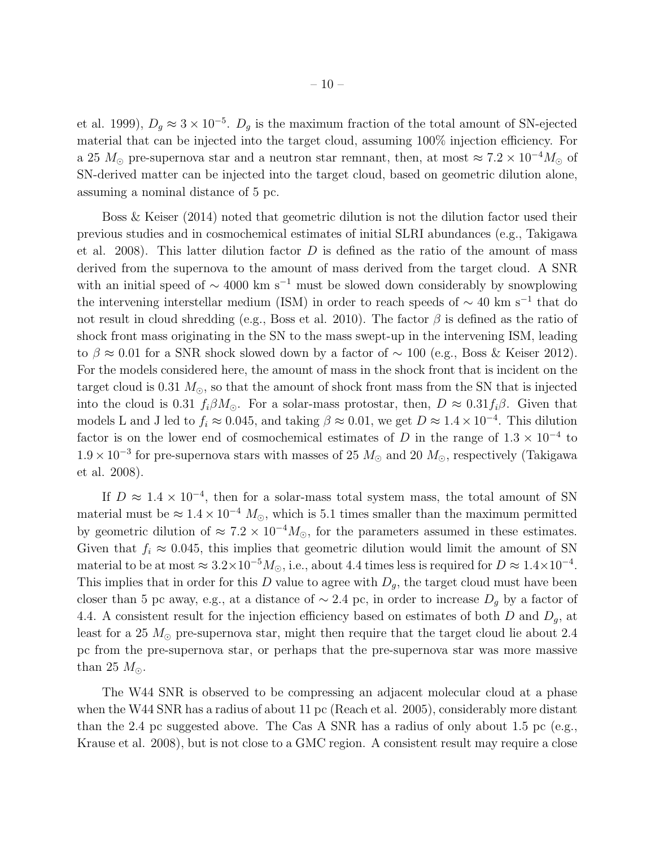et al. 1999),  $D_g \approx 3 \times 10^{-5}$ .  $D_g$  is the maximum fraction of the total amount of SN-ejected material that can be injected into the target cloud, assuming 100% injection efficiency. For a 25  $M_{\odot}$  pre-supernova star and a neutron star remnant, then, at most  $\approx 7.2 \times 10^{-4} M_{\odot}$  of SN-derived matter can be injected into the target cloud, based on geometric dilution alone, assuming a nominal distance of 5 pc.

Boss & Keiser (2014) noted that geometric dilution is not the dilution factor used their previous studies and in cosmochemical estimates of initial SLRI abundances (e.g., Takigawa et al. 2008). This latter dilution factor  $D$  is defined as the ratio of the amount of mass derived from the supernova to the amount of mass derived from the target cloud. A SNR with an initial speed of  $\sim$  4000 km s<sup>-1</sup> must be slowed down considerably by snowplowing the intervening interstellar medium (ISM) in order to reach speeds of  $\sim 40 \text{ km s}^{-1}$  that do not result in cloud shredding (e.g., Boss et al. 2010). The factor  $\beta$  is defined as the ratio of shock front mass originating in the SN to the mass swept-up in the intervening ISM, leading to  $\beta \approx 0.01$  for a SNR shock slowed down by a factor of  $\sim 100$  (e.g., Boss & Keiser 2012). For the models considered here, the amount of mass in the shock front that is incident on the target cloud is 0.31  $M_{\odot}$ , so that the amount of shock front mass from the SN that is injected into the cloud is 0.31  $f_i\beta M_{\odot}$ . For a solar-mass protostar, then,  $D \approx 0.31 f_i\beta$ . Given that models L and J led to  $f_i \approx 0.045$ , and taking  $\beta \approx 0.01$ , we get  $D \approx 1.4 \times 10^{-4}$ . This dilution factor is on the lower end of cosmochemical estimates of D in the range of  $1.3 \times 10^{-4}$  to  $1.9 \times 10^{-3}$  for pre-supernova stars with masses of 25  $M_{\odot}$  and 20  $M_{\odot}$ , respectively (Takigawa et al. 2008).

If  $D \approx 1.4 \times 10^{-4}$ , then for a solar-mass total system mass, the total amount of SN material must be  $\approx 1.4 \times 10^{-4}$  M<sub>☉</sub>, which is 5.1 times smaller than the maximum permitted by geometric dilution of  $\approx 7.2 \times 10^{-4} M_{\odot}$ , for the parameters assumed in these estimates. Given that  $f_i \approx 0.045$ , this implies that geometric dilution would limit the amount of SN material to be at most  $\approx 3.2 \times 10^{-5} M_{\odot}$ , i.e., about 4.4 times less is required for  $D \approx 1.4 \times 10^{-4}$ . This implies that in order for this D value to agree with  $D_q$ , the target cloud must have been closer than 5 pc away, e.g., at a distance of  $\sim$  2.4 pc, in order to increase  $D_q$  by a factor of 4.4. A consistent result for the injection efficiency based on estimates of both  $D$  and  $D_q$ , at least for a 25  $M_{\odot}$  pre-supernova star, might then require that the target cloud lie about 2.4 pc from the pre-supernova star, or perhaps that the pre-supernova star was more massive than 25  $M_{\odot}$ .

The W44 SNR is observed to be compressing an adjacent molecular cloud at a phase when the W44 SNR has a radius of about 11 pc (Reach et al. 2005), considerably more distant than the 2.4 pc suggested above. The Cas A SNR has a radius of only about 1.5 pc (e.g., Krause et al. 2008), but is not close to a GMC region. A consistent result may require a close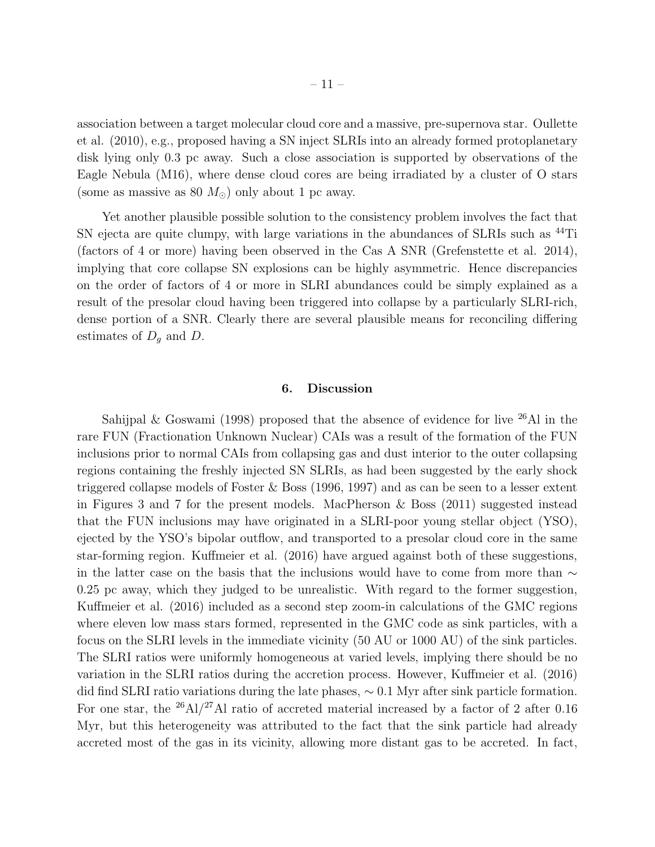association between a target molecular cloud core and a massive, pre-supernova star. Oullette et al. (2010), e.g., proposed having a SN inject SLRIs into an already formed protoplanetary disk lying only 0.3 pc away. Such a close association is supported by observations of the Eagle Nebula (M16), where dense cloud cores are being irradiated by a cluster of O stars (some as massive as 80  $M_{\odot}$ ) only about 1 pc away.

Yet another plausible possible solution to the consistency problem involves the fact that SN ejecta are quite clumpy, with large variations in the abundances of SLRIs such as <sup>44</sup>Ti (factors of 4 or more) having been observed in the Cas A SNR (Grefenstette et al. 2014), implying that core collapse SN explosions can be highly asymmetric. Hence discrepancies on the order of factors of 4 or more in SLRI abundances could be simply explained as a result of the presolar cloud having been triggered into collapse by a particularly SLRI-rich, dense portion of a SNR. Clearly there are several plausible means for reconciling differing estimates of  $D<sub>g</sub>$  and D.

#### 6. Discussion

Sahijpal & Goswami (1998) proposed that the absence of evidence for live  $^{26}$ Al in the rare FUN (Fractionation Unknown Nuclear) CAIs was a result of the formation of the FUN inclusions prior to normal CAIs from collapsing gas and dust interior to the outer collapsing regions containing the freshly injected SN SLRIs, as had been suggested by the early shock triggered collapse models of Foster & Boss (1996, 1997) and as can be seen to a lesser extent in Figures 3 and 7 for the present models. MacPherson & Boss (2011) suggested instead that the FUN inclusions may have originated in a SLRI-poor young stellar object (YSO), ejected by the YSO's bipolar outflow, and transported to a presolar cloud core in the same star-forming region. Kuffmeier et al. (2016) have argued against both of these suggestions, in the latter case on the basis that the inclusions would have to come from more than  $\sim$ 0.25 pc away, which they judged to be unrealistic. With regard to the former suggestion, Kuffmeier et al. (2016) included as a second step zoom-in calculations of the GMC regions where eleven low mass stars formed, represented in the GMC code as sink particles, with a focus on the SLRI levels in the immediate vicinity (50 AU or 1000 AU) of the sink particles. The SLRI ratios were uniformly homogeneous at varied levels, implying there should be no variation in the SLRI ratios during the accretion process. However, Kuffmeier et al. (2016) did find SLRI ratio variations during the late phases, ∼ 0.1 Myr after sink particle formation. For one star, the  $^{26}$ Al/<sup>27</sup>Al ratio of accreted material increased by a factor of 2 after 0.16 Myr, but this heterogeneity was attributed to the fact that the sink particle had already accreted most of the gas in its vicinity, allowing more distant gas to be accreted. In fact,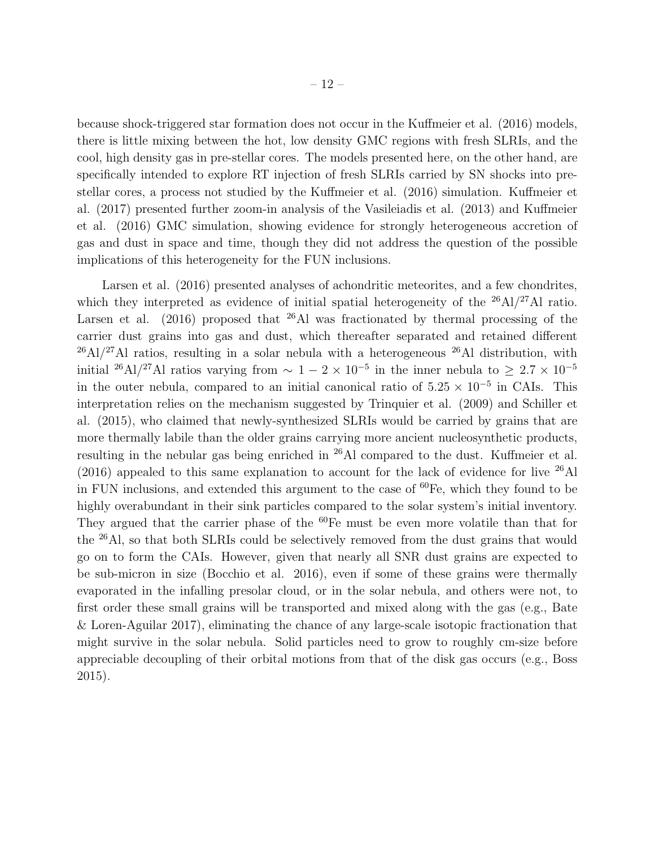because shock-triggered star formation does not occur in the Kuffmeier et al. (2016) models, there is little mixing between the hot, low density GMC regions with fresh SLRIs, and the cool, high density gas in pre-stellar cores. The models presented here, on the other hand, are specifically intended to explore RT injection of fresh SLRIs carried by SN shocks into prestellar cores, a process not studied by the Kuffmeier et al. (2016) simulation. Kuffmeier et al. (2017) presented further zoom-in analysis of the Vasileiadis et al. (2013) and Kuffmeier et al. (2016) GMC simulation, showing evidence for strongly heterogeneous accretion of gas and dust in space and time, though they did not address the question of the possible implications of this heterogeneity for the FUN inclusions.

Larsen et al. (2016) presented analyses of achondritic meteorites, and a few chondrites, which they interpreted as evidence of initial spatial heterogeneity of the <sup>26</sup>Al/<sup>27</sup>Al ratio. Larsen et al. (2016) proposed that  $26$ Al was fractionated by thermal processing of the carrier dust grains into gas and dust, which thereafter separated and retained different  $^{26}$ Al/<sup>27</sup>Al ratios, resulting in a solar nebula with a heterogeneous  $^{26}$ Al distribution, with initial <sup>26</sup>Al/<sup>27</sup>Al ratios varying from  $\sim 1-2 \times 10^{-5}$  in the inner nebula to  $\geq 2.7 \times 10^{-5}$ in the outer nebula, compared to an initial canonical ratio of  $5.25 \times 10^{-5}$  in CAIs. This interpretation relies on the mechanism suggested by Trinquier et al. (2009) and Schiller et al. (2015), who claimed that newly-synthesized SLRIs would be carried by grains that are more thermally labile than the older grains carrying more ancient nucleosynthetic products, resulting in the nebular gas being enriched in <sup>26</sup>Al compared to the dust. Kuffmeier et al.  $(2016)$  appealed to this same explanation to account for the lack of evidence for live  $^{26}$ Al in FUN inclusions, and extended this argument to the case of  ${}^{60}Fe$ , which they found to be highly overabundant in their sink particles compared to the solar system's initial inventory. They argued that the carrier phase of the  $60Fe$  must be even more volatile than that for the <sup>26</sup>Al, so that both SLRIs could be selectively removed from the dust grains that would go on to form the CAIs. However, given that nearly all SNR dust grains are expected to be sub-micron in size (Bocchio et al. 2016), even if some of these grains were thermally evaporated in the infalling presolar cloud, or in the solar nebula, and others were not, to first order these small grains will be transported and mixed along with the gas (e.g., Bate & Loren-Aguilar 2017), eliminating the chance of any large-scale isotopic fractionation that might survive in the solar nebula. Solid particles need to grow to roughly cm-size before appreciable decoupling of their orbital motions from that of the disk gas occurs (e.g., Boss 2015).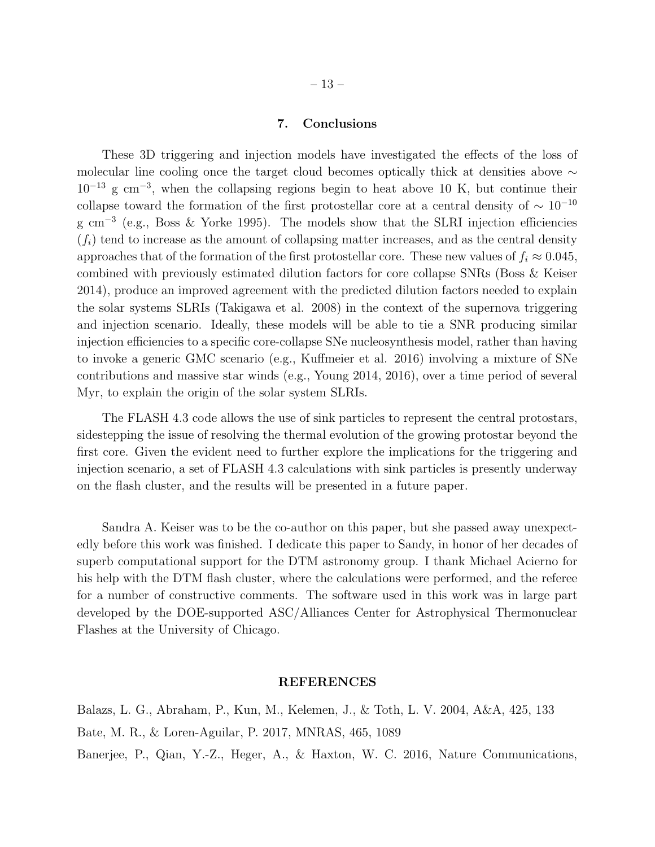7. Conclusions

These 3D triggering and injection models have investigated the effects of the loss of molecular line cooling once the target cloud becomes optically thick at densities above ∼  $10^{-13}$  g cm<sup>-3</sup>, when the collapsing regions begin to heat above 10 K, but continue their collapse toward the formation of the first protostellar core at a central density of  $\sim 10^{-10}$ g cm<sup>-3</sup> (e.g., Boss & Yorke 1995). The models show that the SLRI injection efficiencies  $(f_i)$  tend to increase as the amount of collapsing matter increases, and as the central density approaches that of the formation of the first protostellar core. These new values of  $f_i \approx 0.045$ , combined with previously estimated dilution factors for core collapse SNRs (Boss & Keiser 2014), produce an improved agreement with the predicted dilution factors needed to explain the solar systems SLRIs (Takigawa et al. 2008) in the context of the supernova triggering and injection scenario. Ideally, these models will be able to tie a SNR producing similar injection efficiencies to a specific core-collapse SNe nucleosynthesis model, rather than having to invoke a generic GMC scenario (e.g., Kuffmeier et al. 2016) involving a mixture of SNe contributions and massive star winds (e.g., Young 2014, 2016), over a time period of several Myr, to explain the origin of the solar system SLRIs.

The FLASH 4.3 code allows the use of sink particles to represent the central protostars, sidestepping the issue of resolving the thermal evolution of the growing protostar beyond the first core. Given the evident need to further explore the implications for the triggering and injection scenario, a set of FLASH 4.3 calculations with sink particles is presently underway on the flash cluster, and the results will be presented in a future paper.

Sandra A. Keiser was to be the co-author on this paper, but she passed away unexpectedly before this work was finished. I dedicate this paper to Sandy, in honor of her decades of superb computational support for the DTM astronomy group. I thank Michael Acierno for his help with the DTM flash cluster, where the calculations were performed, and the referee for a number of constructive comments. The software used in this work was in large part developed by the DOE-supported ASC/Alliances Center for Astrophysical Thermonuclear Flashes at the University of Chicago.

#### REFERENCES

Balazs, L. G., Abraham, P., Kun, M., Kelemen, J., & Toth, L. V. 2004, A&A, 425, 133 Bate, M. R., & Loren-Aguilar, P. 2017, MNRAS, 465, 1089 Banerjee, P., Qian, Y.-Z., Heger, A., & Haxton, W. C. 2016, Nature Communications,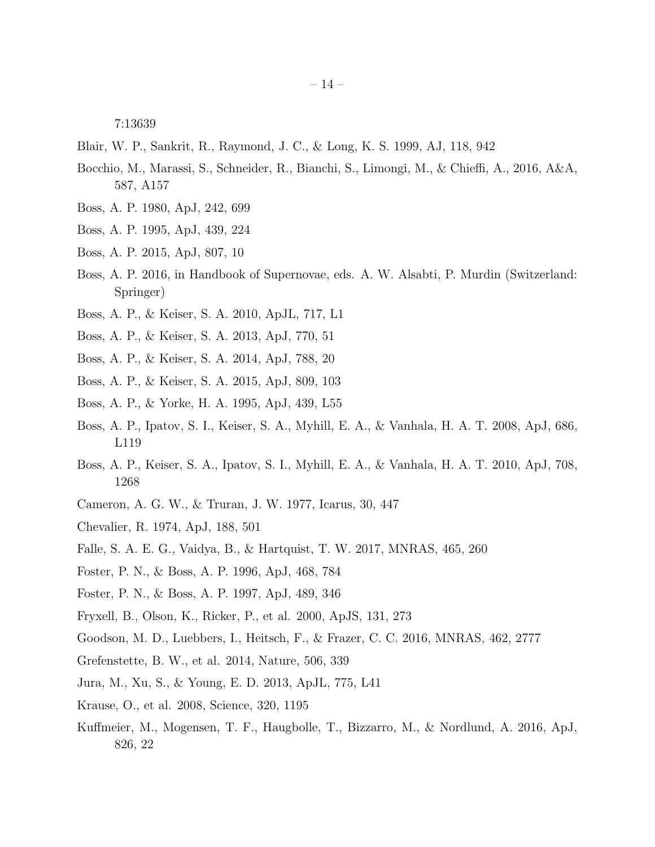7:13639

- Blair, W. P., Sankrit, R., Raymond, J. C., & Long, K. S. 1999, AJ, 118, 942
- Bocchio, M., Marassi, S., Schneider, R., Bianchi, S., Limongi, M., & Chieffi, A., 2016, A&A, 587, A157
- Boss, A. P. 1980, ApJ, 242, 699
- Boss, A. P. 1995, ApJ, 439, 224
- Boss, A. P. 2015, ApJ, 807, 10
- Boss, A. P. 2016, in Handbook of Supernovae, eds. A. W. Alsabti, P. Murdin (Switzerland: Springer)
- Boss, A. P., & Keiser, S. A. 2010, ApJL, 717, L1
- Boss, A. P., & Keiser, S. A. 2013, ApJ, 770, 51
- Boss, A. P., & Keiser, S. A. 2014, ApJ, 788, 20
- Boss, A. P., & Keiser, S. A. 2015, ApJ, 809, 103
- Boss, A. P., & Yorke, H. A. 1995, ApJ, 439, L55
- Boss, A. P., Ipatov, S. I., Keiser, S. A., Myhill, E. A., & Vanhala, H. A. T. 2008, ApJ, 686, L119
- Boss, A. P., Keiser, S. A., Ipatov, S. I., Myhill, E. A., & Vanhala, H. A. T. 2010, ApJ, 708, 1268
- Cameron, A. G. W., & Truran, J. W. 1977, Icarus, 30, 447
- Chevalier, R. 1974, ApJ, 188, 501
- Falle, S. A. E. G., Vaidya, B., & Hartquist, T. W. 2017, MNRAS, 465, 260
- Foster, P. N., & Boss, A. P. 1996, ApJ, 468, 784
- Foster, P. N., & Boss, A. P. 1997, ApJ, 489, 346
- Fryxell, B., Olson, K., Ricker, P., et al. 2000, ApJS, 131, 273
- Goodson, M. D., Luebbers, I., Heitsch, F., & Frazer, C. C. 2016, MNRAS, 462, 2777
- Grefenstette, B. W., et al. 2014, Nature, 506, 339
- Jura, M., Xu, S., & Young, E. D. 2013, ApJL, 775, L41
- Krause, O., et al. 2008, Science, 320, 1195
- Kuffmeier, M., Mogensen, T. F., Haugbolle, T., Bizzarro, M., & Nordlund, A. 2016, ApJ, 826, 22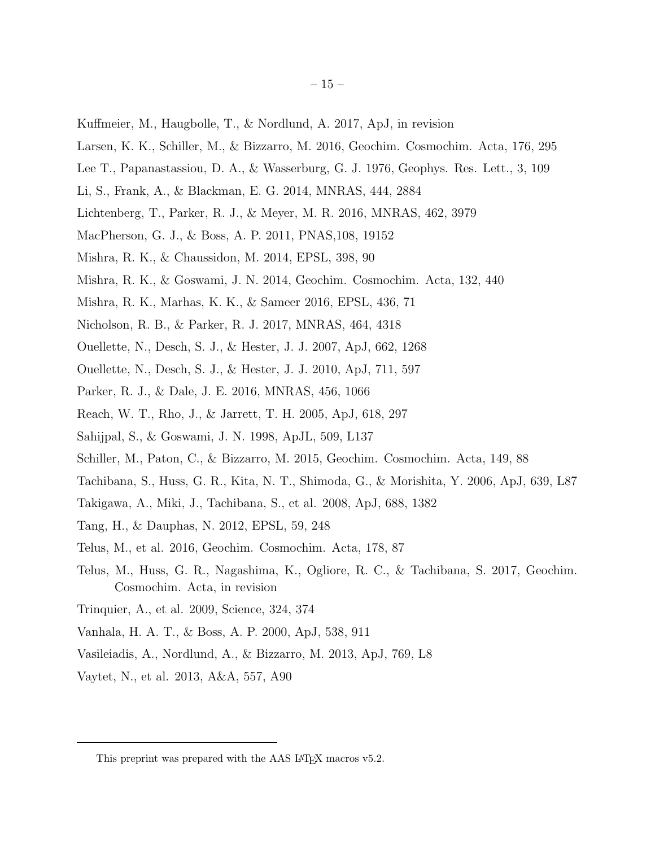- Kuffmeier, M., Haugbolle, T., & Nordlund, A. 2017, ApJ, in revision
- Larsen, K. K., Schiller, M., & Bizzarro, M. 2016, Geochim. Cosmochim. Acta, 176, 295
- Lee T., Papanastassiou, D. A., & Wasserburg, G. J. 1976, Geophys. Res. Lett., 3, 109
- Li, S., Frank, A., & Blackman, E. G. 2014, MNRAS, 444, 2884
- Lichtenberg, T., Parker, R. J., & Meyer, M. R. 2016, MNRAS, 462, 3979
- MacPherson, G. J., & Boss, A. P. 2011, PNAS,108, 19152
- Mishra, R. K., & Chaussidon, M. 2014, EPSL, 398, 90
- Mishra, R. K., & Goswami, J. N. 2014, Geochim. Cosmochim. Acta, 132, 440
- Mishra, R. K., Marhas, K. K., & Sameer 2016, EPSL, 436, 71
- Nicholson, R. B., & Parker, R. J. 2017, MNRAS, 464, 4318
- Ouellette, N., Desch, S. J., & Hester, J. J. 2007, ApJ, 662, 1268
- Ouellette, N., Desch, S. J., & Hester, J. J. 2010, ApJ, 711, 597
- Parker, R. J., & Dale, J. E. 2016, MNRAS, 456, 1066
- Reach, W. T., Rho, J., & Jarrett, T. H. 2005, ApJ, 618, 297
- Sahijpal, S., & Goswami, J. N. 1998, ApJL, 509, L137
- Schiller, M., Paton, C., & Bizzarro, M. 2015, Geochim. Cosmochim. Acta, 149, 88
- Tachibana, S., Huss, G. R., Kita, N. T., Shimoda, G., & Morishita, Y. 2006, ApJ, 639, L87
- Takigawa, A., Miki, J., Tachibana, S., et al. 2008, ApJ, 688, 1382
- Tang, H., & Dauphas, N. 2012, EPSL, 59, 248
- Telus, M., et al. 2016, Geochim. Cosmochim. Acta, 178, 87
- Telus, M., Huss, G. R., Nagashima, K., Ogliore, R. C., & Tachibana, S. 2017, Geochim. Cosmochim. Acta, in revision
- Trinquier, A., et al. 2009, Science, 324, 374
- Vanhala, H. A. T., & Boss, A. P. 2000, ApJ, 538, 911
- Vasileiadis, A., Nordlund, A., & Bizzarro, M. 2013, ApJ, 769, L8
- Vaytet, N., et al. 2013, A&A, 557, A90

This preprint was prepared with the AAS LAT<sub>E</sub>X macros v5.2.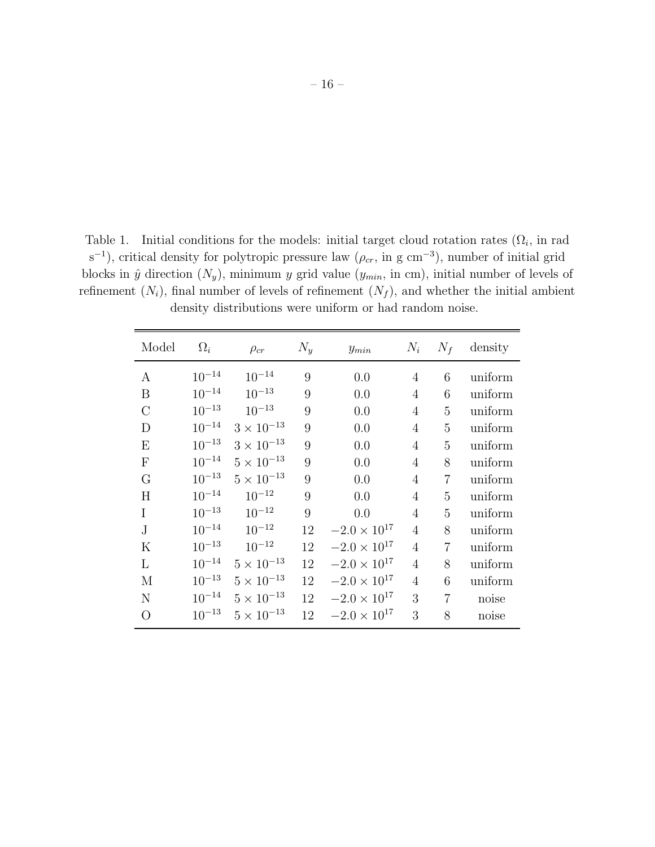Table 1. Initial conditions for the models: initial target cloud rotation rates  $(\Omega_i)$ , in rad s<sup>-1</sup>), critical density for polytropic pressure law ( $\rho_{cr}$ , in g cm<sup>-3</sup>), number of initial grid blocks in  $\hat{y}$  direction  $(N_y)$ , minimum y grid value  $(y_{min}, \text{ in cm})$ , initial number of levels of refinement  $(N_i)$ , final number of levels of refinement  $(N_f)$ , and whether the initial ambient density distributions were uniform or had random noise.

| Model                     | $\Omega_i$ | $\rho_{cr}$         | $N_y$ | $y_{min}$             | $N_i$          | $N_f$          | density |
|---------------------------|------------|---------------------|-------|-----------------------|----------------|----------------|---------|
| А                         | $10^{-14}$ | $10^{-14}$          | 9     | 0.0                   | 4              | 6              | uniform |
| B                         | $10^{-14}$ | $10^{-13}$          | 9     | 0.0                   | $\overline{4}$ | 6              | uniform |
| $\mathcal{C}$             | $10^{-13}$ | $10^{-13}$          | 9     | 0.0                   | $\overline{4}$ | 5              | uniform |
| D                         | $10^{-14}$ | $3\times10^{-13}$   | 9     | 0.0                   | $\overline{4}$ | $\overline{5}$ | uniform |
| E                         | $10^{-13}$ | $3 \times 10^{-13}$ | 9     | 0.0                   | $\overline{4}$ | 5              | uniform |
| $\boldsymbol{\mathrm{F}}$ | $10^{-14}$ | $5\times10^{-13}$   | 9     | 0.0                   | $\overline{4}$ | 8              | uniform |
| G                         | $10^{-13}$ | $5\times10^{-13}$   | 9     | 0.0                   | $\overline{4}$ | $\overline{7}$ | uniform |
| H                         | $10^{-14}$ | $10^{-12}$          | 9     | 0.0                   | $\overline{4}$ | 5              | uniform |
| I                         | $10^{-13}$ | $10^{-12}$          | 9     | 0.0                   | $\overline{4}$ | $\overline{5}$ | uniform |
| $\bf J$                   | $10^{-14}$ | $10^{-12}$          | 12    | $-2.0 \times 10^{17}$ | $\overline{4}$ | 8              | uniform |
| $\mathbf K$               | $10^{-13}$ | $10^{-12}$          | 12    | $-2.0 \times 10^{17}$ | $\overline{4}$ | $\overline{7}$ | uniform |
| L                         | $10^{-14}$ | $5 \times 10^{-13}$ | 12    | $-2.0 \times 10^{17}$ | $\overline{4}$ | 8              | uniform |
| M                         | $10^{-13}$ | $5 \times 10^{-13}$ | 12    | $-2.0 \times 10^{17}$ | $\overline{4}$ | 6              | uniform |
| $\mathbf N$               | $10^{-14}$ | $5\times10^{-13}$   | 12    | $-2.0 \times 10^{17}$ | 3              | $\overline{7}$ | noise   |
| $\bigcirc$                | $10^{-13}$ | $5\times10^{-13}$   | 12    | $-2.0 \times 10^{17}$ | 3              | 8              | noise   |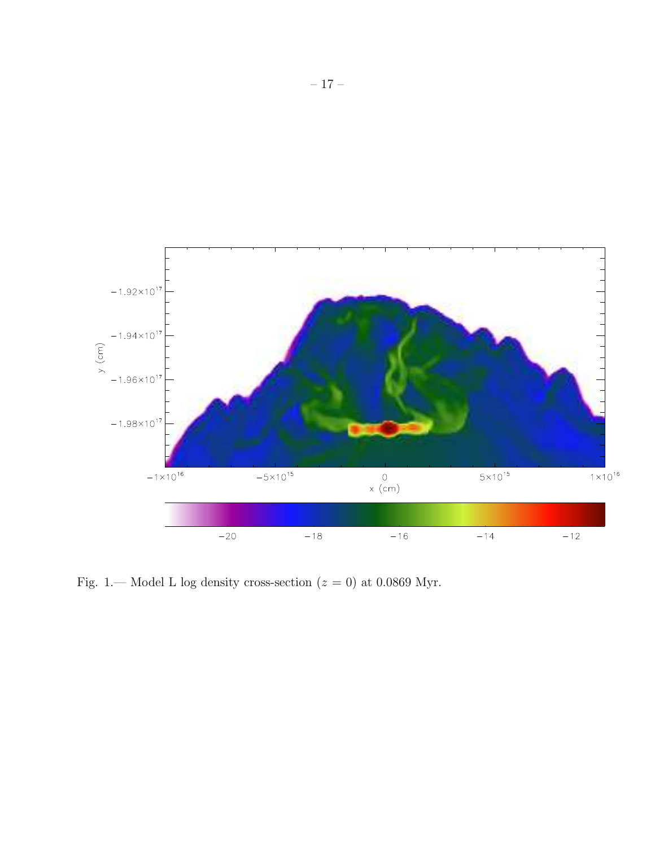

Fig. 1.— Model L log density cross-section  $(z = 0)$  at 0.0869 Myr.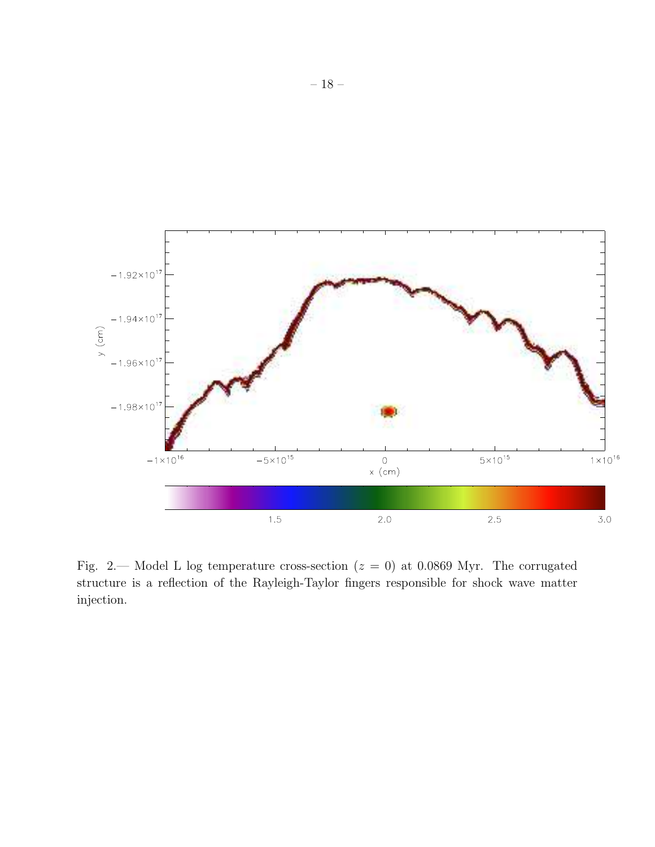

Fig. 2.— Model L log temperature cross-section  $(z = 0)$  at 0.0869 Myr. The corrugated structure is a reflection of the Rayleigh-Taylor fingers responsible for shock wave matter injection.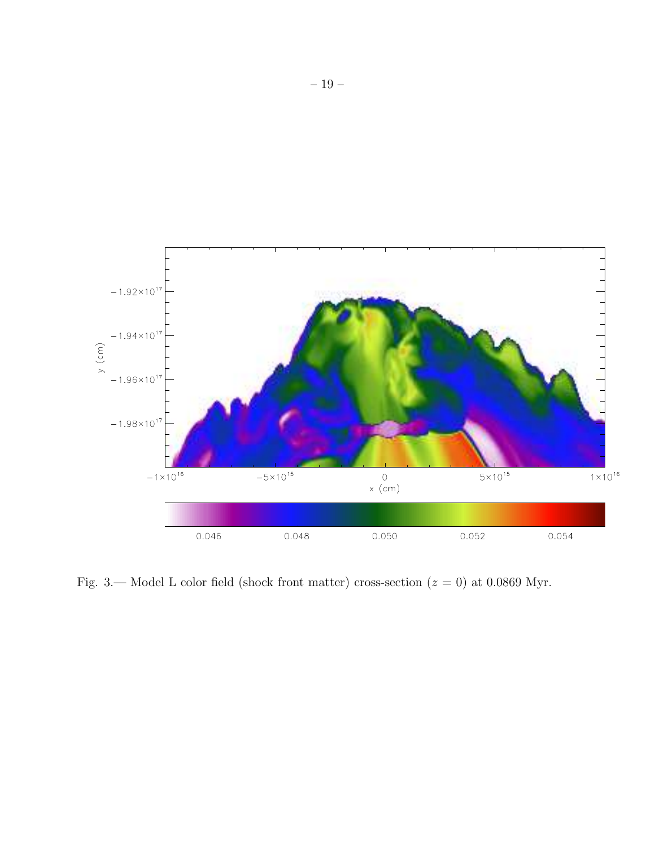

Fig. 3.— Model L color field (shock front matter) cross-section  $(z = 0)$  at 0.0869 Myr.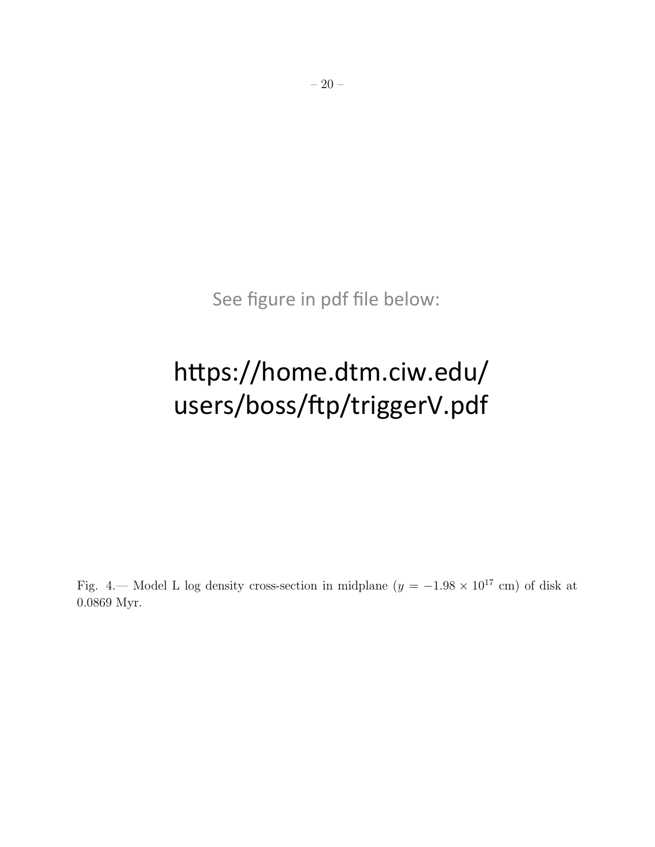See figure in pdf file below:

# https://home.dtm.ciw.edu/ users/boss/ftp/triggerV.pdf

Fig. 4.— Model L log density cross-section in midplane  $(y = -1.98 \times 10^{17} \text{ cm})$  of disk at 0.0869 Myr.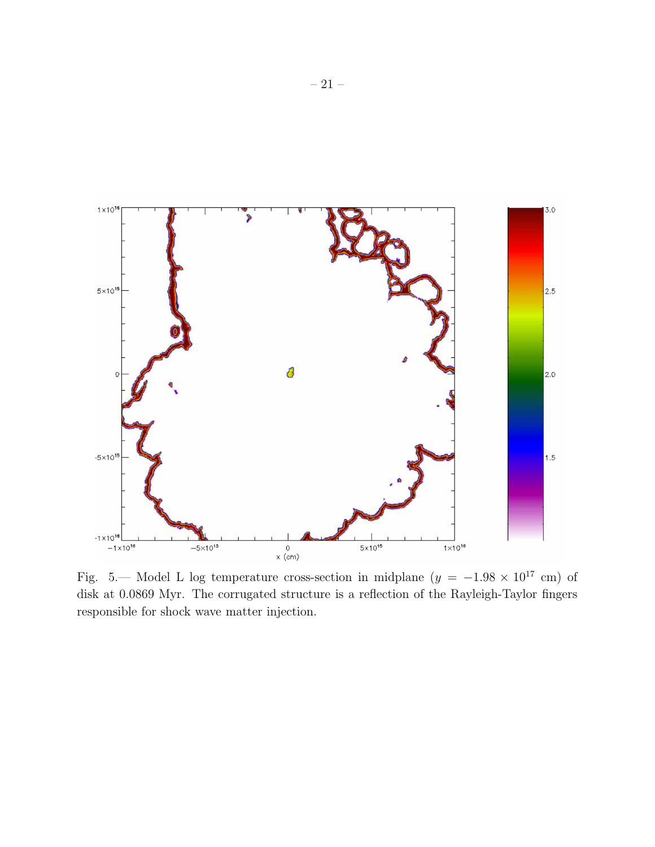

Fig. 5.— Model L log temperature cross-section in midplane  $(y = -1.98 \times 10^{17} \text{ cm})$  of disk at 0.0869 Myr. The corrugated structure is a reflection of the Rayleigh-Taylor fingers responsible for shock wave matter injection.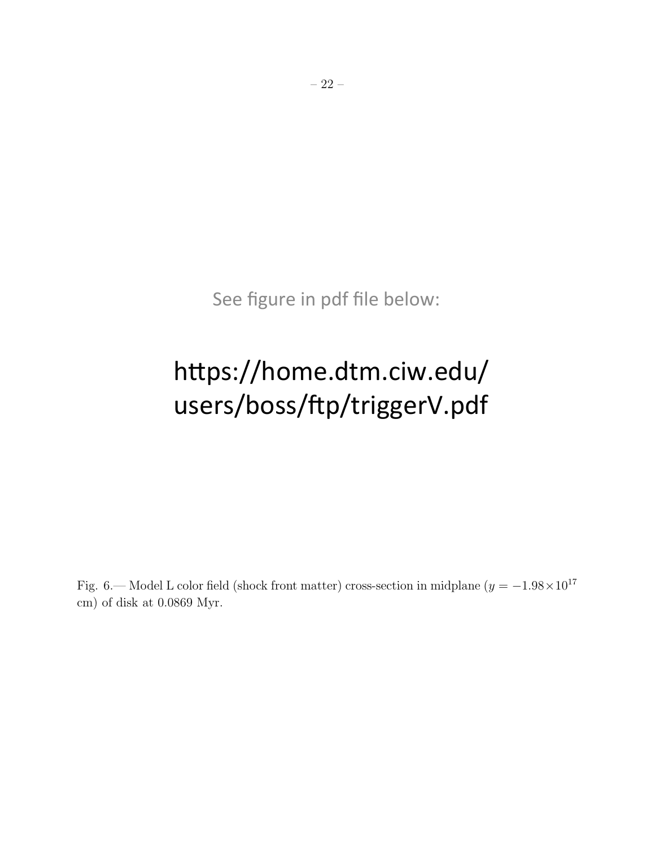See figure in pdf file below:

# https://home.dtm.ciw.edu/ users/boss/ftp/triggerV.pdf

Fig. 6.— Model L color field (shock front matter) cross-section in midplane  $(y = -1.98 \times 10^{17})$ cm) of disk at 0.0869 Myr.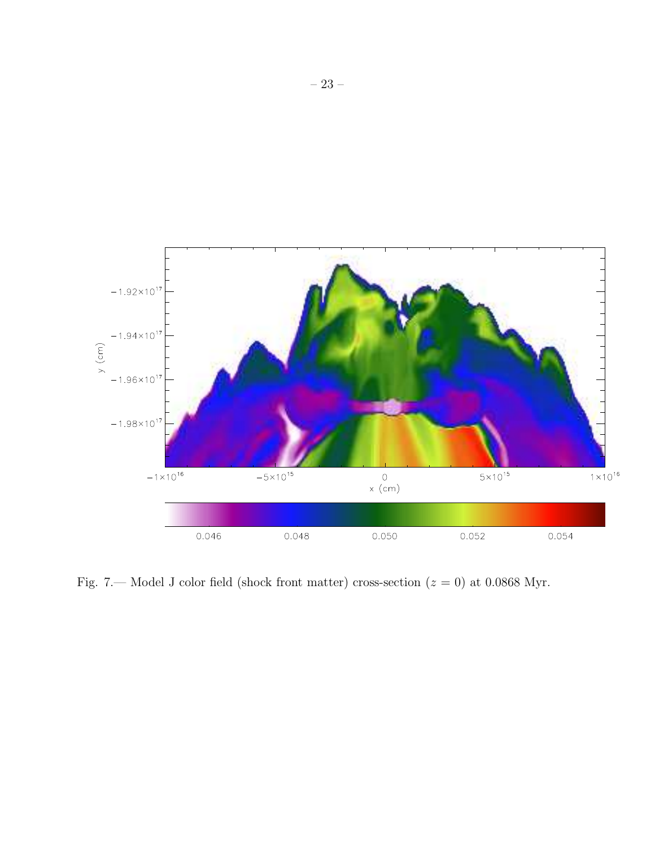

Fig. 7.— Model J color field (shock front matter) cross-section  $(z = 0)$  at 0.0868 Myr.